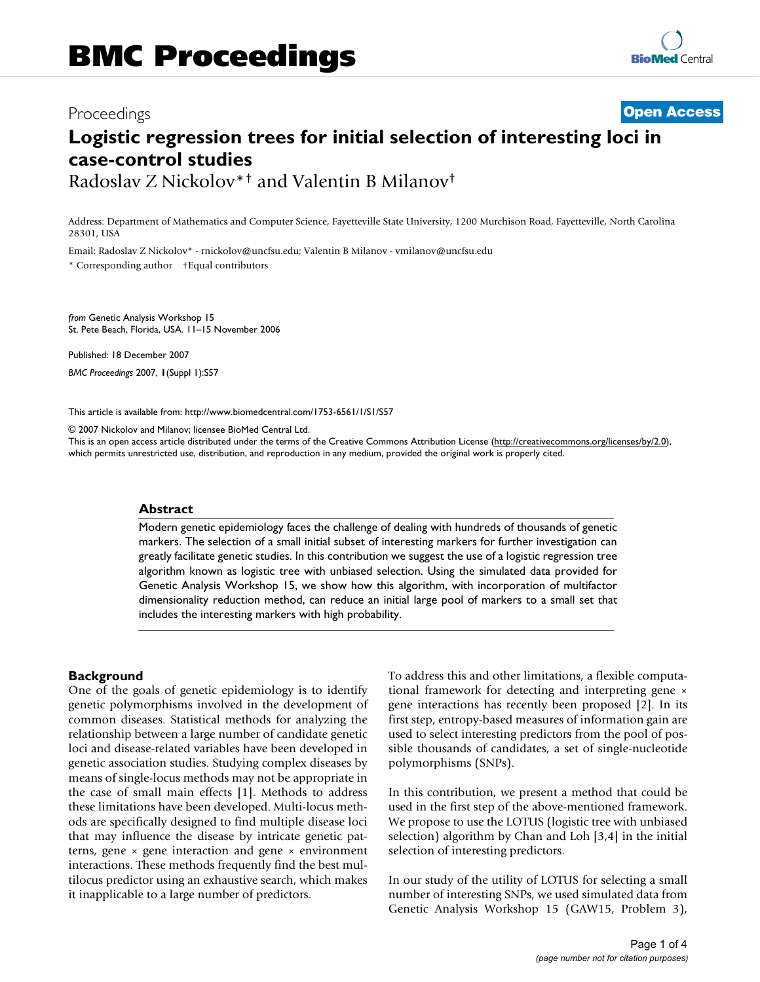# Proceedings **[Open Access](http://www.biomedcentral.com/info/about/charter/) Logistic regression trees for initial selection of interesting loci in case-control studies** Radoslav Z Nickolov\*† and Valentin B Milanov†

Address: Department of Mathematics and Computer Science, Fayetteville State University, 1200 Murchison Road, Fayetteville, North Carolina 28301, USA

Email: Radoslav Z Nickolov\* - rnickolov@uncfsu.edu; Valentin B Milanov - vmilanov@uncfsu.edu

\* Corresponding author †Equal contributors

*from* Genetic Analysis Workshop 15 St. Pete Beach, Florida, USA. 11–15 November 2006

Published: 18 December 2007 *BMC Proceedings* 2007, **1**(Suppl 1):S57

[This article is available from: http://www.biomedcentral.com/1753-6561/1/S1/S57](http://www.biomedcentral.com/1753-6561/1/S1/S57)

© 2007 Nickolov and Milanov; licensee BioMed Central Ltd.

This is an open access article distributed under the terms of the Creative Commons Attribution License [\(http://creativecommons.org/licenses/by/2.0\)](http://creativecommons.org/licenses/by/2.0), which permits unrestricted use, distribution, and reproduction in any medium, provided the original work is properly cited.

#### **Abstract**

Modern genetic epidemiology faces the challenge of dealing with hundreds of thousands of genetic markers. The selection of a small initial subset of interesting markers for further investigation can greatly facilitate genetic studies. In this contribution we suggest the use of a logistic regression tree algorithm known as logistic tree with unbiased selection. Using the simulated data provided for Genetic Analysis Workshop 15, we show how this algorithm, with incorporation of multifactor dimensionality reduction method, can reduce an initial large pool of markers to a small set that includes the interesting markers with high probability.

#### **Background**

One of the goals of genetic epidemiology is to identify genetic polymorphisms involved in the development of common diseases. Statistical methods for analyzing the relationship between a large number of candidate genetic loci and disease-related variables have been developed in genetic association studies. Studying complex diseases by means of single-locus methods may not be appropriate in the case of small main effects [1]. Methods to address these limitations have been developed. Multi-locus methods are specifically designed to find multiple disease loci that may influence the disease by intricate genetic patterns, gene  $\times$  gene interaction and gene  $\times$  environment interactions. These methods frequently find the best multilocus predictor using an exhaustive search, which makes it inapplicable to a large number of predictors.

To address this and other limitations, a flexible computational framework for detecting and interpreting gene × gene interactions has recently been proposed [2]. In its first step, entropy-based measures of information gain are used to select interesting predictors from the pool of possible thousands of candidates, a set of single-nucleotide polymorphisms (SNPs).

In this contribution, we present a method that could be used in the first step of the above-mentioned framework. We propose to use the LOTUS (logistic tree with unbiased selection) algorithm by Chan and Loh [3,4] in the initial selection of interesting predictors.

In our study of the utility of LOTUS for selecting a small number of interesting SNPs, we used simulated data from Genetic Analysis Workshop 15 (GAW15, Problem 3),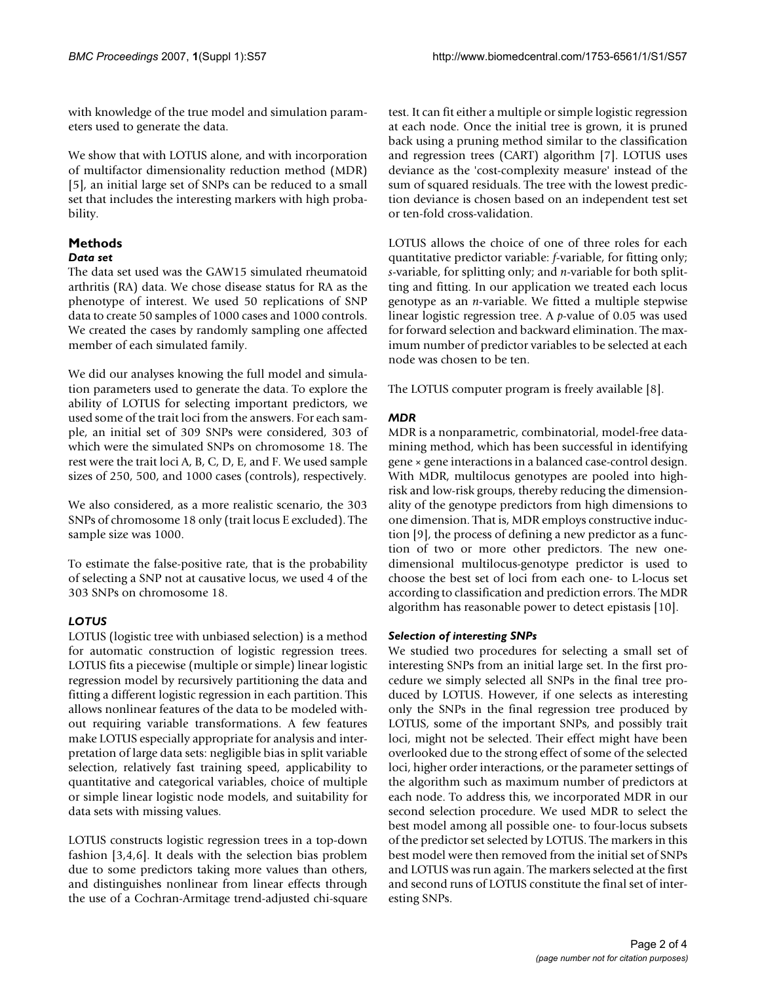with knowledge of the true model and simulation parameters used to generate the data.

We show that with LOTUS alone, and with incorporation of multifactor dimensionality reduction method (MDR) [5], an initial large set of SNPs can be reduced to a small set that includes the interesting markers with high probability.

# **Methods**

# *Data set*

The data set used was the GAW15 simulated rheumatoid arthritis (RA) data. We chose disease status for RA as the phenotype of interest. We used 50 replications of SNP data to create 50 samples of 1000 cases and 1000 controls. We created the cases by randomly sampling one affected member of each simulated family.

We did our analyses knowing the full model and simulation parameters used to generate the data. To explore the ability of LOTUS for selecting important predictors, we used some of the trait loci from the answers. For each sample, an initial set of 309 SNPs were considered, 303 of which were the simulated SNPs on chromosome 18. The rest were the trait loci A, B, C, D, E, and F. We used sample sizes of 250, 500, and 1000 cases (controls), respectively.

We also considered, as a more realistic scenario, the 303 SNPs of chromosome 18 only (trait locus E excluded). The sample size was 1000.

To estimate the false-positive rate, that is the probability of selecting a SNP not at causative locus, we used 4 of the 303 SNPs on chromosome 18.

# *LOTUS*

LOTUS (logistic tree with unbiased selection) is a method for automatic construction of logistic regression trees. LOTUS fits a piecewise (multiple or simple) linear logistic regression model by recursively partitioning the data and fitting a different logistic regression in each partition. This allows nonlinear features of the data to be modeled without requiring variable transformations. A few features make LOTUS especially appropriate for analysis and interpretation of large data sets: negligible bias in split variable selection, relatively fast training speed, applicability to quantitative and categorical variables, choice of multiple or simple linear logistic node models, and suitability for data sets with missing values.

LOTUS constructs logistic regression trees in a top-down fashion [3,4,6]. It deals with the selection bias problem due to some predictors taking more values than others, and distinguishes nonlinear from linear effects through the use of a Cochran-Armitage trend-adjusted chi-square test. It can fit either a multiple or simple logistic regression at each node. Once the initial tree is grown, it is pruned back using a pruning method similar to the classification and regression trees (CART) algorithm [7]. LOTUS uses deviance as the 'cost-complexity measure' instead of the sum of squared residuals. The tree with the lowest prediction deviance is chosen based on an independent test set or ten-fold cross-validation.

LOTUS allows the choice of one of three roles for each quantitative predictor variable: *f*-variable, for fitting only; *s*-variable, for splitting only; and *n*-variable for both splitting and fitting. In our application we treated each locus genotype as an *n*-variable. We fitted a multiple stepwise linear logistic regression tree. A *p*-value of 0.05 was used for forward selection and backward elimination. The maximum number of predictor variables to be selected at each node was chosen to be ten.

The LOTUS computer program is freely available [8].

## *MDR*

MDR is a nonparametric, combinatorial, model-free datamining method, which has been successful in identifying gene × gene interactions in a balanced case-control design. With MDR, multilocus genotypes are pooled into highrisk and low-risk groups, thereby reducing the dimensionality of the genotype predictors from high dimensions to one dimension. That is, MDR employs constructive induction [9], the process of defining a new predictor as a function of two or more other predictors. The new onedimensional multilocus-genotype predictor is used to choose the best set of loci from each one- to L-locus set according to classification and prediction errors. The MDR algorithm has reasonable power to detect epistasis [10].

## *Selection of interesting SNPs*

We studied two procedures for selecting a small set of interesting SNPs from an initial large set. In the first procedure we simply selected all SNPs in the final tree produced by LOTUS. However, if one selects as interesting only the SNPs in the final regression tree produced by LOTUS, some of the important SNPs, and possibly trait loci, might not be selected. Their effect might have been overlooked due to the strong effect of some of the selected loci, higher order interactions, or the parameter settings of the algorithm such as maximum number of predictors at each node. To address this, we incorporated MDR in our second selection procedure. We used MDR to select the best model among all possible one- to four-locus subsets of the predictor set selected by LOTUS. The markers in this best model were then removed from the initial set of SNPs and LOTUS was run again. The markers selected at the first and second runs of LOTUS constitute the final set of interesting SNPs.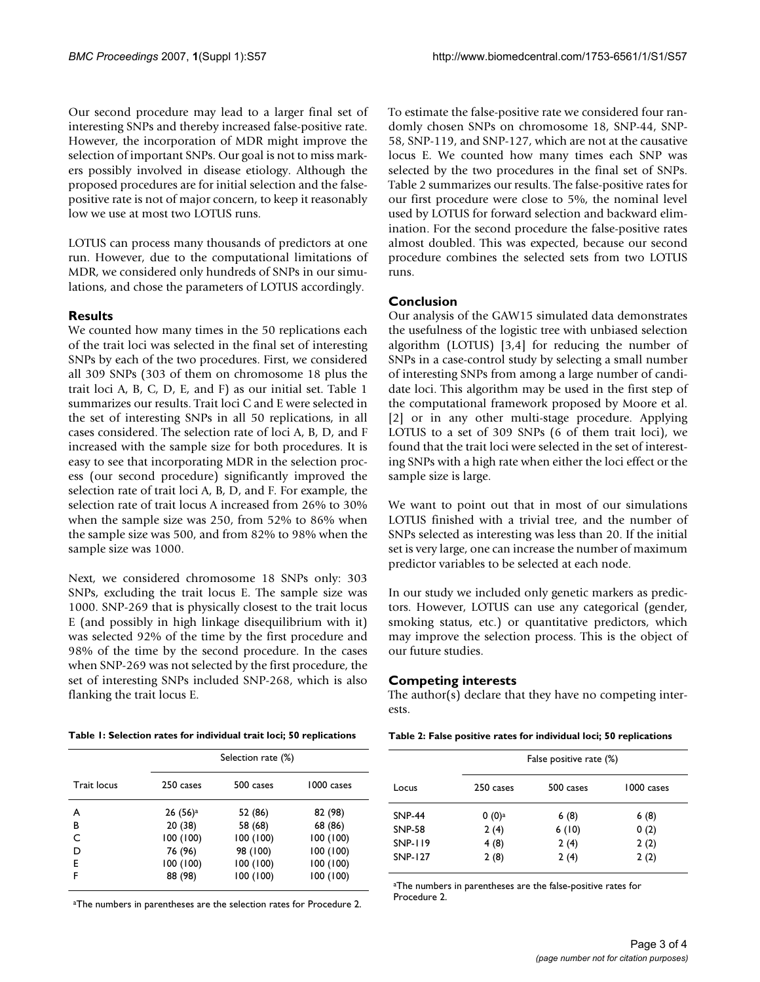Our second procedure may lead to a larger final set of interesting SNPs and thereby increased false-positive rate. However, the incorporation of MDR might improve the selection of important SNPs. Our goal is not to miss markers possibly involved in disease etiology. Although the proposed procedures are for initial selection and the falsepositive rate is not of major concern, to keep it reasonably low we use at most two LOTUS runs.

LOTUS can process many thousands of predictors at one run. However, due to the computational limitations of MDR, we considered only hundreds of SNPs in our simulations, and chose the parameters of LOTUS accordingly.

## **Results**

We counted how many times in the 50 replications each of the trait loci was selected in the final set of interesting SNPs by each of the two procedures. First, we considered all 309 SNPs (303 of them on chromosome 18 plus the trait loci A, B, C, D, E, and F) as our initial set. Table 1 summarizes our results. Trait loci C and E were selected in the set of interesting SNPs in all 50 replications, in all cases considered. The selection rate of loci A, B, D, and F increased with the sample size for both procedures. It is easy to see that incorporating MDR in the selection process (our second procedure) significantly improved the selection rate of trait loci A, B, D, and F. For example, the selection rate of trait locus A increased from 26% to 30% when the sample size was 250, from 52% to 86% when the sample size was 500, and from 82% to 98% when the sample size was 1000.

Next, we considered chromosome 18 SNPs only: 303 SNPs, excluding the trait locus E. The sample size was 1000. SNP-269 that is physically closest to the trait locus E (and possibly in high linkage disequilibrium with it) was selected 92% of the time by the first procedure and 98% of the time by the second procedure. In the cases when SNP-269 was not selected by the first procedure, the set of interesting SNPs included SNP-268, which is also flanking the trait locus E.

|  |  |  |  |  |  | Table 1: Selection rates for individual trait loci; 50 replications |
|--|--|--|--|--|--|---------------------------------------------------------------------|
|--|--|--|--|--|--|---------------------------------------------------------------------|

|                    |                     | Selection rate (%) |            |  |  |
|--------------------|---------------------|--------------------|------------|--|--|
| <b>Trait locus</b> | 250 cases           | 500 cases          | 1000 cases |  |  |
| A                  | 26(56) <sup>a</sup> | 52 (86)            | 82 (98)    |  |  |
| В                  | 20 (38)             | 58 (68)            | 68 (86)    |  |  |
| C                  | 100(100)            | 100(100)           | 100 (100)  |  |  |
| D                  | 76 (96)             | 98 (100)           | 100(100)   |  |  |
| E                  | 100(100)            | 100(100)           | 100 (100)  |  |  |
| F                  | 88 (98)             | 100 (100)          | 100 (100)  |  |  |

aThe numbers in parentheses are the selection rates for Procedure 2.

To estimate the false-positive rate we considered four randomly chosen SNPs on chromosome 18, SNP-44, SNP-58, SNP-119, and SNP-127, which are not at the causative locus E. We counted how many times each SNP was selected by the two procedures in the final set of SNPs. Table 2 summarizes our results. The false-positive rates for our first procedure were close to 5%, the nominal level used by LOTUS for forward selection and backward elimination. For the second procedure the false-positive rates almost doubled. This was expected, because our second procedure combines the selected sets from two LOTUS runs.

## **Conclusion**

Our analysis of the GAW15 simulated data demonstrates the usefulness of the logistic tree with unbiased selection algorithm (LOTUS) [3,4] for reducing the number of SNPs in a case-control study by selecting a small number of interesting SNPs from among a large number of candidate loci. This algorithm may be used in the first step of the computational framework proposed by Moore et al. [2] or in any other multi-stage procedure. Applying LOTUS to a set of 309 SNPs (6 of them trait loci), we found that the trait loci were selected in the set of interesting SNPs with a high rate when either the loci effect or the sample size is large.

We want to point out that in most of our simulations LOTUS finished with a trivial tree, and the number of SNPs selected as interesting was less than 20. If the initial set is very large, one can increase the number of maximum predictor variables to be selected at each node.

In our study we included only genetic markers as predictors. However, LOTUS can use any categorical (gender, smoking status, etc.) or quantitative predictors, which may improve the selection process. This is the object of our future studies.

## **Competing interests**

The author(s) declare that they have no competing interests.

|  |  |  |  |  | Table 2: False positive rates for individual loci; 50 replications |
|--|--|--|--|--|--------------------------------------------------------------------|
|--|--|--|--|--|--------------------------------------------------------------------|

|                |           | False positive rate (%) |            |
|----------------|-----------|-------------------------|------------|
| Locus          | 250 cases | 500 cases               | 1000 cases |
| <b>SNP-44</b>  | $0(0)^a$  | 6(8)                    | 6(8)       |
| <b>SNP-58</b>  | 2(4)      | 6(10)                   | 0(2)       |
| <b>SNP-119</b> | 4(8)      | 2(4)                    | 2(2)       |
| <b>SNP-127</b> | 2(8)      | 2(4)                    | 2(2)       |

aThe numbers in parentheses are the false-positive rates for Procedure 2.